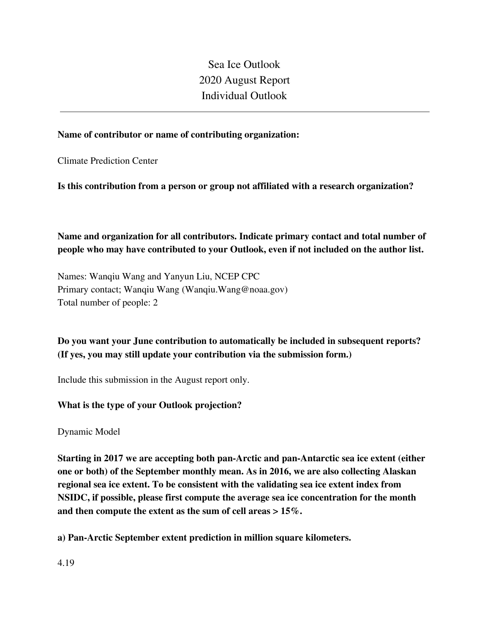Sea Ice Outlook 2020 August Report Individual Outlook

### **Name of contributor or name of contributing organization:**

Climate Prediction Center

**Is this contribution from a person or group not affiliated with a research organization?** 

**Name and organization for all contributors. Indicate primary contact and total number of people who may have contributed to your Outlook, even if not included on the author list.**

Names: Wanqiu Wang and Yanyun Liu, NCEP CPC Primary contact; Wanqiu Wang (Wanqiu.Wang@noaa.gov) Total number of people: 2

# **Do you want your June contribution to automatically be included in subsequent reports? (If yes, you may still update your contribution via the submission form.)**

Include this submission in the August report only.

## **What is the type of your Outlook projection?**

Dynamic Model

**Starting in 2017 we are accepting both pan-Arctic and pan-Antarctic sea ice extent (either one or both) of the September monthly mean. As in 2016, we are also collecting Alaskan regional sea ice extent. To be consistent with the validating sea ice extent index from NSIDC, if possible, please first compute the average sea ice concentration for the month and then compute the extent as the sum of cell areas > 15%.**

**a) Pan-Arctic September extent prediction in million square kilometers.**

4.19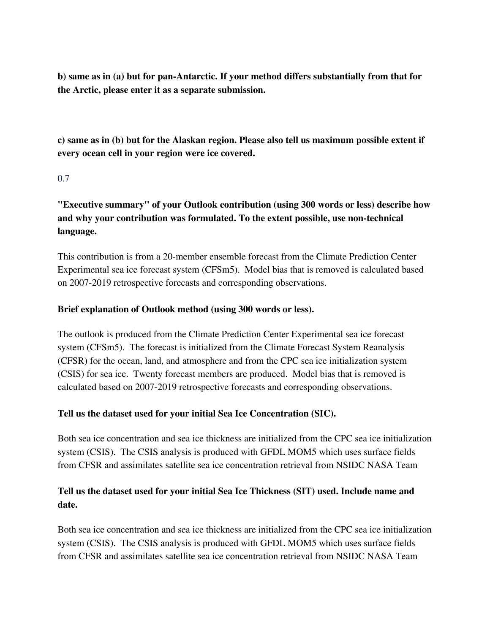**b) same as in (a) but for pan-Antarctic. If your method differs substantially from that for the Arctic, please enter it as a separate submission.**

**c) same as in (b) but for the Alaskan region. Please also tell us maximum possible extent if every ocean cell in your region were ice covered.**

## 0.7

**"Executive summary" of your Outlook contribution (using 300 words or less) describe how and why your contribution was formulated. To the extent possible, use non-technical language.**

This contribution is from a 20-member ensemble forecast from the Climate Prediction Center Experimental sea ice forecast system (CFSm5). Model bias that is removed is calculated based on 2007-2019 retrospective forecasts and corresponding observations.

## **Brief explanation of Outlook method (using 300 words or less).**

The outlook is produced from the Climate Prediction Center Experimental sea ice forecast system (CFSm5). The forecast is initialized from the Climate Forecast System Reanalysis (CFSR) for the ocean, land, and atmosphere and from the CPC sea ice initialization system (CSIS) for sea ice. Twenty forecast members are produced. Model bias that is removed is calculated based on 2007-2019 retrospective forecasts and corresponding observations.

## **Tell us the dataset used for your initial Sea Ice Concentration (SIC).**

Both sea ice concentration and sea ice thickness are initialized from the CPC sea ice initialization system (CSIS). The CSIS analysis is produced with GFDL MOM5 which uses surface fields from CFSR and assimilates satellite sea ice concentration retrieval from NSIDC NASA Team

# **Tell us the dataset used for your initial Sea Ice Thickness (SIT) used. Include name and date.**

Both sea ice concentration and sea ice thickness are initialized from the CPC sea ice initialization system (CSIS). The CSIS analysis is produced with GFDL MOM5 which uses surface fields from CFSR and assimilates satellite sea ice concentration retrieval from NSIDC NASA Team